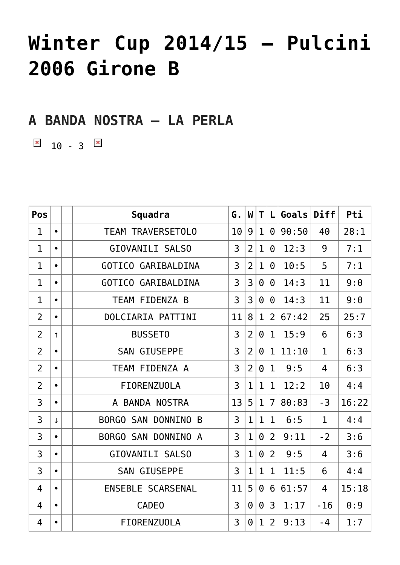## **[Winter Cup 2014/15 – Pulcini](https://aicsparma.info/wps/winter-cup-201415-pulcini-2006-girone-b) [2006 Girone B](https://aicsparma.info/wps/winter-cup-201415-pulcini-2006-girone-b)**

**A BANDA NOSTRA – LA PERLA**

 $\boxed{\times}$  10 - 3  $\boxed{\times}$ 

| Pos            |              | Squadra                          | G. | W              | T.           | L              | Goals | <b>Diff</b>  | Pti   |
|----------------|--------------|----------------------------------|----|----------------|--------------|----------------|-------|--------------|-------|
| $\mathbf{1}$   | $\bullet$    | <b>TEAM TRAVERSETOLO</b>         | 10 | 9              | $\mathbf{1}$ | $\Theta$       | 90:50 | 40           | 28:1  |
| $\mathbf{1}$   | $\bullet$    | <b>GIOVANILI SALSO</b>           | 3  | $\overline{2}$ | $\mathbf{1}$ | $\Theta$       | 12:3  | 9            | 7:1   |
| $\mathbf{1}$   | $\bullet$    | <b>GOTICO GARIBALDINA</b>        | 3  | $\overline{2}$ | $\mathbf 1$  | $\Theta$       | 10:5  | 5            | 7:1   |
| $\mathbf{1}$   | $\bullet$    | <b>GOTICO GARIBALDINA</b>        | 3  | 3              | $\Theta$     | 0              | 14:3  | 11           | 9:0   |
| $\mathbf{1}$   | $\bullet$    | TEAM FIDENZA B                   | 3  | 3              | $\Theta$     | 0              | 14:3  | 11           | 9:0   |
| $\overline{2}$ | $\bullet$    | DOLCIARIA PATTINI                | 11 | 8              | $\mathbf{1}$ | $\overline{2}$ | 67:42 | 25           | 25:7  |
| $\overline{2}$ | $\uparrow$   | <b>BUSSET0</b>                   | 3  | $\overline{2}$ | $\Theta$     | $\mathbf{1}$   | 15:9  | 6            | 6:3   |
| $\overline{2}$ | $\bullet$    | <b>SAN GIUSEPPE</b>              | 3  | $\overline{2}$ | $\Theta$     | $\mathbf{1}$   | 11:10 | $\mathbf 1$  | 6:3   |
| $\overline{2}$ | $\bullet$    | TEAM FIDENZA A                   | 3  | $\overline{2}$ | 0            | $\mathbf{1}$   | 9:5   | 4            | 6:3   |
| $\overline{2}$ | $\bullet$    | <b>FIORENZUOLA</b>               | 3  | $\overline{1}$ | $\mathbf{1}$ | $\mathbf{1}$   | 12:2  | 10           | 4:4   |
| 3              | $\bullet$    | A BANDA NOSTRA                   | 13 | 5              | $\mathbf{1}$ | $\overline{7}$ | 80:83 | $-3$         | 16:22 |
| 3              | $\downarrow$ | <b>SAN DONNINO</b><br>BORGO<br>B | 3  | $\mathbf{1}$   | $\mathbf{1}$ | $\mathbf{1}$   | 6:5   | $\mathbf{1}$ | 4:4   |
| 3              | $\bullet$    | BORGO SAN DONNINO A              | 3  | $\mathbf{1}$   | $\Theta$     | $\overline{2}$ | 9:11  | $-2$         | 3:6   |
| 3              | $\bullet$    | GIOVANILI SALSO                  | 3  | $\mathbf{1}$   | $\Theta$     | $\overline{2}$ | 9:5   | 4            | 3:6   |
| 3              | $\bullet$    | <b>SAN GIUSEPPE</b>              | 3  | $\mathbf{1}$   | $\mathbf{1}$ | $\mathbf{1}$   | 11:5  | 6            | 4:4   |
| 4              | $\bullet$    | ENSEBLE SCARSENAL                | 11 | 5              | $\Theta$     | 6              | 61:57 | 4            | 15:18 |
| 4              | $\bullet$    | <b>CADE0</b>                     | 3  | $\Theta$       | $\Theta$     | 3              | 1:17  | $-16$        | 0:9   |
| 4              | $\bullet$    | <b>FIORENZUOLA</b>               | 3  | $\Theta$       | $\mathbf{1}$ | $\overline{2}$ | 9:13  | $-4$         | 1:7   |